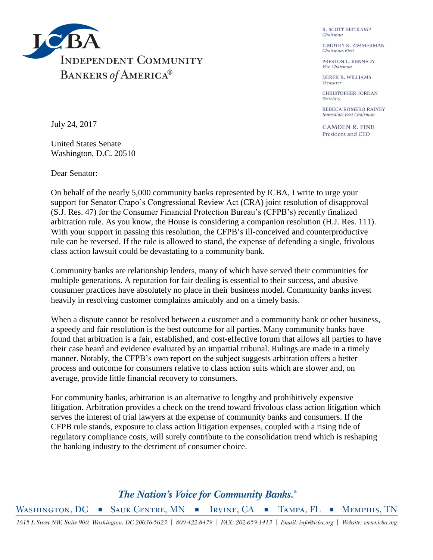

**R. SCOTT HEITKAMP** Chairman

TIMOTHY K. ZIMMERMAN Chairman-Elect

PRESTON L. KENNEDY Vice Chairman

DEREK B. WILLIAMS Treasurer

CHRISTOPHER JORDAN Secretary

REBECA ROMERO RAINEY Immediate Past Chairman

**CAMDEN R. FINE** President and CEO

July 24, 2017

United States Senate Washington, D.C. 20510

Dear Senator:

On behalf of the nearly 5,000 community banks represented by ICBA, I write to urge your support for Senator Crapo's Congressional Review Act (CRA) joint resolution of disapproval (S.J. Res. 47) for the Consumer Financial Protection Bureau's (CFPB's) recently finalized arbitration rule. As you know, the House is considering a companion resolution (H.J. Res. 111). With your support in passing this resolution, the CFPB's ill-conceived and counterproductive rule can be reversed. If the rule is allowed to stand, the expense of defending a single, frivolous class action lawsuit could be devastating to a community bank.

Community banks are relationship lenders, many of which have served their communities for multiple generations. A reputation for fair dealing is essential to their success, and abusive consumer practices have absolutely no place in their business model. Community banks invest heavily in resolving customer complaints amicably and on a timely basis.

When a dispute cannot be resolved between a customer and a community bank or other business, a speedy and fair resolution is the best outcome for all parties. Many community banks have found that arbitration is a fair, established, and cost-effective forum that allows all parties to have their case heard and evidence evaluated by an impartial tribunal. Rulings are made in a timely manner. Notably, the CFPB's own report on the subject suggests arbitration offers a better process and outcome for consumers relative to class action suits which are slower and, on average, provide little financial recovery to consumers.

For community banks, arbitration is an alternative to lengthy and prohibitively expensive litigation. Arbitration provides a check on the trend toward frivolous class action litigation which serves the interest of trial lawyers at the expense of community banks and consumers. If the CFPB rule stands, exposure to class action litigation expenses, coupled with a rising tide of regulatory compliance costs, will surely contribute to the consolidation trend which is reshaping the banking industry to the detriment of consumer choice.

## The Nation's Voice for Community Banks.<sup>®</sup>

WASHINGTON, DC SAUK CENTRE, MN GRVINE, CA GRAPA, FL GREMPHIS, TN

1615 L Street NW, Suite 900, Washington, DC 20036-5623 | 800-422-8439 | FAX: 202-659-1413 | Email: info@icba.org | Website: www.icba.org